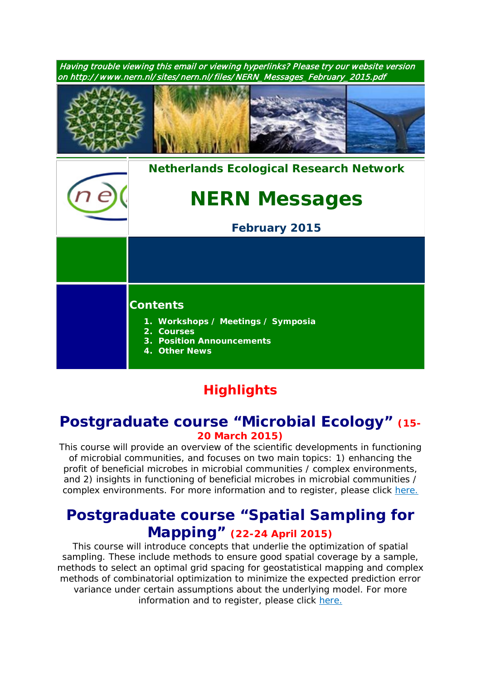| Having trouble viewing this email or viewing hyperlinks? Please try our website version<br>on http://www.nern.nl/sites/nern.nl/files/NERN_Messages_February_2015.pdf |                                                                                                                          |
|----------------------------------------------------------------------------------------------------------------------------------------------------------------------|--------------------------------------------------------------------------------------------------------------------------|
|                                                                                                                                                                      |                                                                                                                          |
|                                                                                                                                                                      | <b>Netherlands Ecological Research Network</b>                                                                           |
|                                                                                                                                                                      | <b>NERN Messages</b>                                                                                                     |
|                                                                                                                                                                      | <b>February 2015</b>                                                                                                     |
|                                                                                                                                                                      |                                                                                                                          |
|                                                                                                                                                                      | <b>Contents</b><br>1. Workshops / Meetings / Symposia<br>2. Courses<br><b>3. Position Announcements</b><br>4. Other News |

# **Highlights**

# **Postgraduate course "Microbial Ecology" (15- 20 March 2015)**

*This course will provide an overview of the scientific developments in functioning of microbial communities, and focuses on two main topics: 1) enhancing the profit of beneficial microbes in microbial communities / complex environments, and 2) insights in functioning of beneficial microbes in microbial communities / complex environments. For more information and to register, please click [here.](http://www.pe-rc.nl/database/Courses%20and%20Activities/PE-RC%20postgraduate%20courses/Microbial%20Ecology.htm)*

# **Postgraduate course "Spatial Sampling for Mapping" (22-24 April 2015)**

*This course will introduce concepts that underlie the optimization of spatial sampling. These include methods to ensure good spatial coverage by a sample, methods to select an optimal grid spacing for geostatistical mapping and complex methods of combinatorial optimization to minimize the expected prediction error variance under certain assumptions about the underlying model. For more information and to register, please click [here.](http://www.pe-rc.nl/database/Courses%20and%20Activities/PE-RC%20postgraduate%20courses/spatial%20sampling%20for%20mapping.htm)*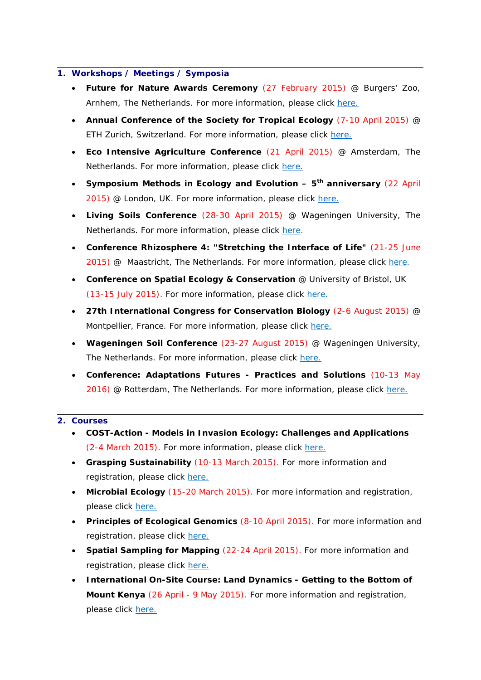#### **1. Workshops / Meetings / Symposia**

- **Future for Nature Awards Ceremony** (27 February 2015) @ Burgers' Zoo, Arnhem, The Netherlands. For more information, please click [here.](http://nern.nl/sites/nern.nl/files/Invitation%20Future%20for%20Nature%20Awards%20event%202015.pdf)
- **Annual Conference of the Society for Tropical Ecology** (7-10 April 2015) @ ETH Zurich, Switzerland. For more information, please click [here.](http://www.gtoe-conference.de/)
- **Eco Intensive Agriculture Conference** (21 April 2015) @ Amsterdam, The Netherlands. For more information, please click [here.](https://nioo.knaw.nl/en/towards-ecology-intensive-agriculture-learning-nature%23quicktabs-qt_eco_agro=0)
- **Symposium Methods in Ecology and Evolution – 5th anniversary** (22 April 2015) @ London, UK. For more information, please click [here.](http://www.methodsinecologyandevolution.org/view/0/events.html)
- **Living Soils Conference** (28-30 April 2015) @ Wageningen University, The Netherlands. For more information, please click [here.](http://www.wageningenur.nl/livingsoils)
- **Conference Rhizosphere 4: "Stretching the Interface of Life"** (21-25 June 2015) @ Maastricht, The Netherlands. For more information, please click [here.](http://www.rhizo4.org/)
- **Conference on Spatial Ecology & Conservation** @ University of Bristol, UK (13-15 July 2015). For more information, please click [here.](http://www.ert-conservation.co.uk/sec3_introduction.php)
- **27th International Congress for Conservation Biology** (2-6 August 2015) @ Montpellier, France. For more information, please click [here.](http://www.iccb-eccb2015.org/)
- **Wageningen Soil Conference** (23-27 August 2015) @ Wageningen University, The Netherlands. For more information, please click [here.](http://www.wageningenur.nl/en/Research-Results/Projects-and-programmes/Wageningen-Soil-Conference.htm)
- **Conference: Adaptations Futures - Practices and Solutions** (10-13 May 2016) @ Rotterdam, The Netherlands. For more information, please click [here.](http://www.adaptationfutures2016.org/)

### **2. Courses**

- **COST-Action - Models in Invasion Ecology: Challenges and Applications**  (2-4 March 2015). For more information, please click [here.](http://www.nern.nl/sites/nern.nl/files/Training%20school%20Porto%20lr.pdf)
- **Grasping Sustainability** (10-13 March 2015). For more information and registration, please click [here.](http://www.sense.nl/courses/search/item/10844532/Grasping-Sustainability)
- **Microbial Ecology** (15-20 March 2015). For more information and registration, please click [here.](http://www.pe-rc.nl/database/Courses%20and%20Activities/PE-RC%20postgraduate%20courses/Microbial%20Ecology.htm)
- **Principles of Ecological Genomics** (8-10 April 2015). For more information and registration, please click [here.](http://www.sense.nl/upcomingcourses/10845112/Principles-of-Ecological-Genomics)
- **Spatial Sampling for Mapping** (22-24 April 2015). For more information and registration, please click [here.](http://www.pe-rc.nl/database/Courses%20and%20Activities/PE-RC%20postgraduate%20courses/spatial%20sampling%20for%20mapping.htm)
- **International On-Site Course: Land Dynamics - Getting to the Bottom of Mount Kenya** (26 April - 9 May 2015). For more information and registration, please click [here.](http://www.pe-rc.nl/database/Courses%20and%20Activities/PE-RC%20postgraduate%20courses/Land%20dynamics%202015.htm)